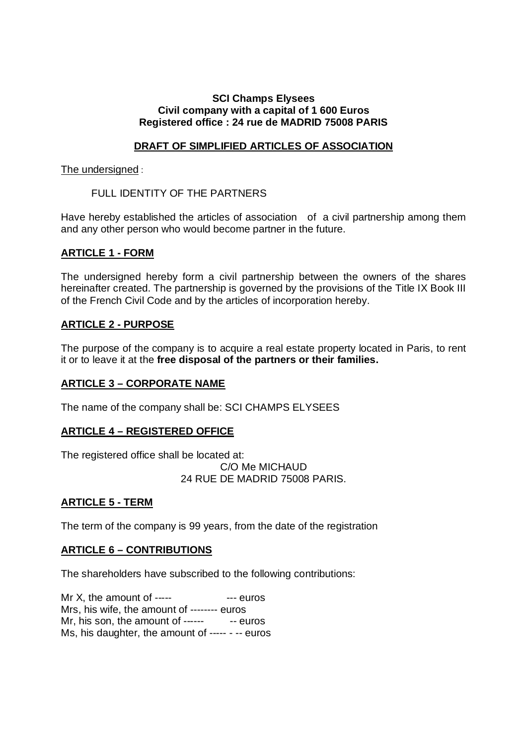## **SCI Champs Elysees Civil company with a capital of 1 600 Euros Registered office : 24 rue de MADRID 75008 PARIS**

# **DRAFT OF SIMPLIFIED ARTICLES OF ASSOCIATION**

## The undersigned :

# FULL IDENTITY OF THE PARTNERS

Have hereby established the articles of association of a civil partnership among them and any other person who would become partner in the future.

# **ARTICLE 1 - FORM**

The undersigned hereby form a civil partnership between the owners of the shares hereinafter created. The partnership is governed by the provisions of the Title IX Book III of the French Civil Code and by the articles of incorporation hereby.

# **ARTICLE 2 - PURPOSE**

The purpose of the company is to acquire a real estate property located in Paris, to rent it or to leave it at the **free disposal of the partners or their families.**

# **ARTICLE 3 – CORPORATE NAME**

The name of the company shall be: SCI CHAMPS ELYSEES

# **ARTICLE 4 – REGISTERED OFFICE**

The registered office shall be located at: C/O Me MICHAUD 24 RUE DE MADRID 75008 PARIS.

# **ARTICLE 5 - TERM**

The term of the company is 99 years, from the date of the registration

# **ARTICLE 6 – CONTRIBUTIONS**

The shareholders have subscribed to the following contributions:

Mr  $X$ , the amount of  $-- ---$  euros Mrs, his wife, the amount of -------- euros Mr, his son, the amount of ------ - -- euros Ms, his daughter, the amount of ----- - -- euros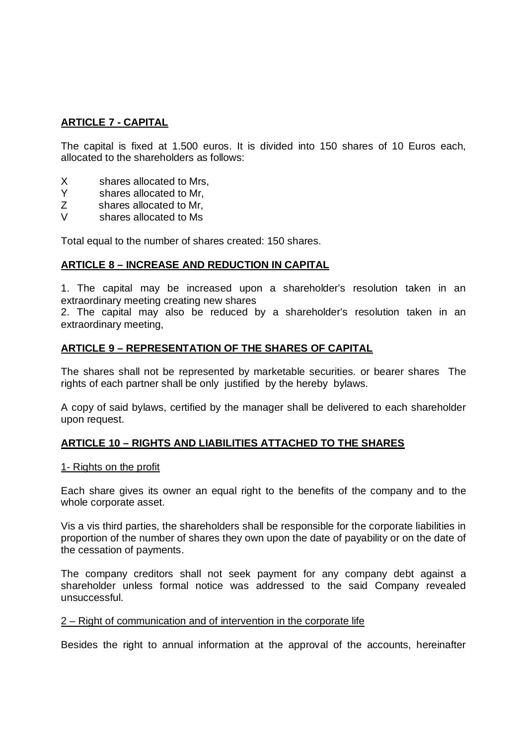# **ARTICLE 7 - CAPITAL**

The capital is fixed at 1.500 euros. It is divided into 150 shares of 10 Euros each, allocated to the shareholders as follows:

- X shares allocated to Mrs,
- Y shares allocated to Mr,
- Z shares allocated to Mr,
- V shares allocated to Ms

Total equal to the number of shares created: 150 shares.

## **ARTICLE 8 – INCREASE AND REDUCTION IN CAPITAL**

1. The capital may be increased upon a shareholder's resolution taken in an extraordinary meeting creating new shares

2. The capital may also be reduced by a shareholder's resolution taken in an extraordinary meeting,

## **ARTICLE 9 – REPRESENTATION OF THE SHARES OF CAPITAL**

The shares shall not be represented by marketable securities. or bearer shares The rights of each partner shall be only justified by the hereby bylaws.

A copy of said bylaws, certified by the manager shall be delivered to each shareholder upon request.

# **ARTICLE 10 – RIGHTS AND LIABILITIES ATTACHED TO THE SHARES**

## 1- Rights on the profit

Each share gives its owner an equal right to the benefits of the company and to the whole corporate asset.

Vis a vis third parties, the shareholders shall be responsible for the corporate liabilities in proportion of the number of shares they own upon the date of payability or on the date of the cessation of payments.

The company creditors shall not seek payment for any company debt against a shareholder unless formal notice was addressed to the said Company revealed unsuccessful.

## 2 – Right of communication and of intervention in the corporate life

Besides the right to annual information at the approval of the accounts, hereinafter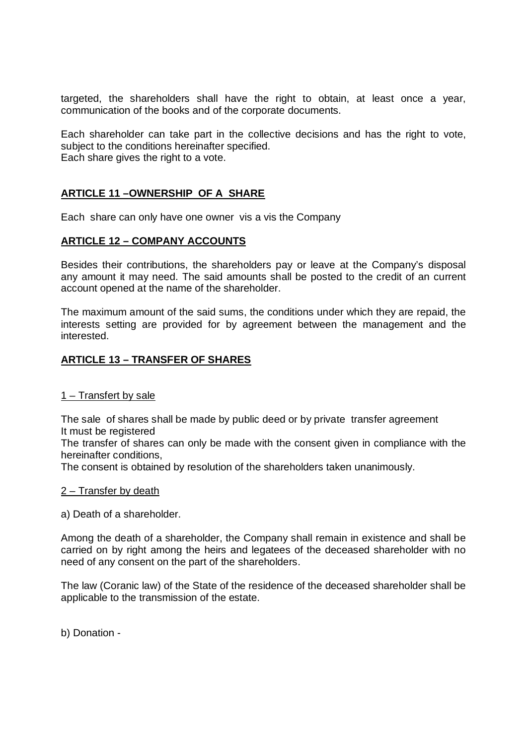targeted, the shareholders shall have the right to obtain, at least once a year, communication of the books and of the corporate documents.

Each shareholder can take part in the collective decisions and has the right to vote, subject to the conditions hereinafter specified. Each share gives the right to a vote.

# **ARTICLE 11 –OWNERSHIP OF A SHARE**

Each share can only have one owner vis a vis the Company

#### **ARTICLE 12 – COMPANY ACCOUNTS**

Besides their contributions, the shareholders pay or leave at the Company's disposal any amount it may need. The said amounts shall be posted to the credit of an current account opened at the name of the shareholder.

The maximum amount of the said sums, the conditions under which they are repaid, the interests setting are provided for by agreement between the management and the interested.

## **ARTICLE 13 – TRANSFER OF SHARES**

#### 1 – Transfert by sale

The sale of shares shall be made by public deed or by private transfer agreement It must be registered

The transfer of shares can only be made with the consent given in compliance with the hereinafter conditions,

The consent is obtained by resolution of the shareholders taken unanimously.

#### 2 – Transfer by death

a) Death of a shareholder.

Among the death of a shareholder, the Company shall remain in existence and shall be carried on by right among the heirs and legatees of the deceased shareholder with no need of any consent on the part of the shareholders.

The law (Coranic law) of the State of the residence of the deceased shareholder shall be applicable to the transmission of the estate.

b) Donation -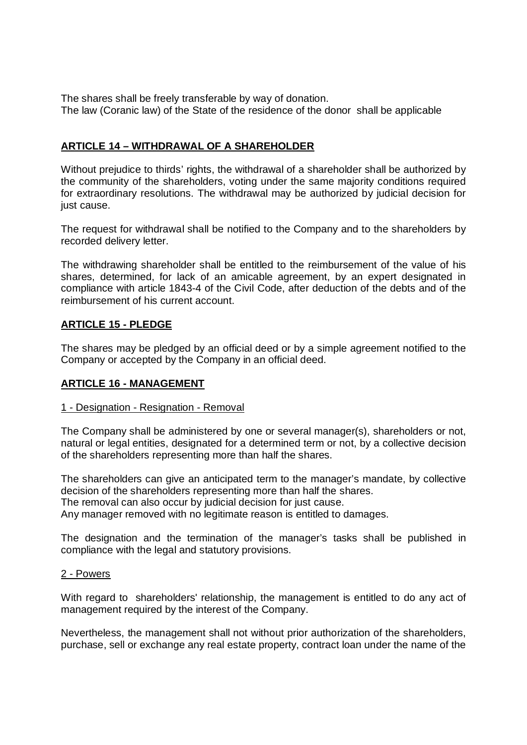The shares shall be freely transferable by way of donation. The law (Coranic law) of the State of the residence of the donor shall be applicable

# **ARTICLE 14 – WITHDRAWAL OF A SHAREHOLDER**

Without prejudice to thirds' rights, the withdrawal of a shareholder shall be authorized by the community of the shareholders, voting under the same majority conditions required for extraordinary resolutions. The withdrawal may be authorized by judicial decision for just cause.

The request for withdrawal shall be notified to the Company and to the shareholders by recorded delivery letter.

The withdrawing shareholder shall be entitled to the reimbursement of the value of his shares, determined, for lack of an amicable agreement, by an expert designated in compliance with article 1843-4 of the Civil Code, after deduction of the debts and of the reimbursement of his current account.

# **ARTICLE 15 - PLEDGE**

The shares may be pledged by an official deed or by a simple agreement notified to the Company or accepted by the Company in an official deed.

## **ARTICLE 16 - MANAGEMENT**

## 1 - Designation - Resignation - Removal

The Company shall be administered by one or several manager(s), shareholders or not, natural or legal entities, designated for a determined term or not, by a collective decision of the shareholders representing more than half the shares.

The shareholders can give an anticipated term to the manager's mandate, by collective decision of the shareholders representing more than half the shares.

The removal can also occur by judicial decision for just cause.

Any manager removed with no legitimate reason is entitled to damages.

The designation and the termination of the manager's tasks shall be published in compliance with the legal and statutory provisions.

## 2 - Powers

With regard to shareholders' relationship, the management is entitled to do any act of management required by the interest of the Company.

Nevertheless, the management shall not without prior authorization of the shareholders, purchase, sell or exchange any real estate property, contract loan under the name of the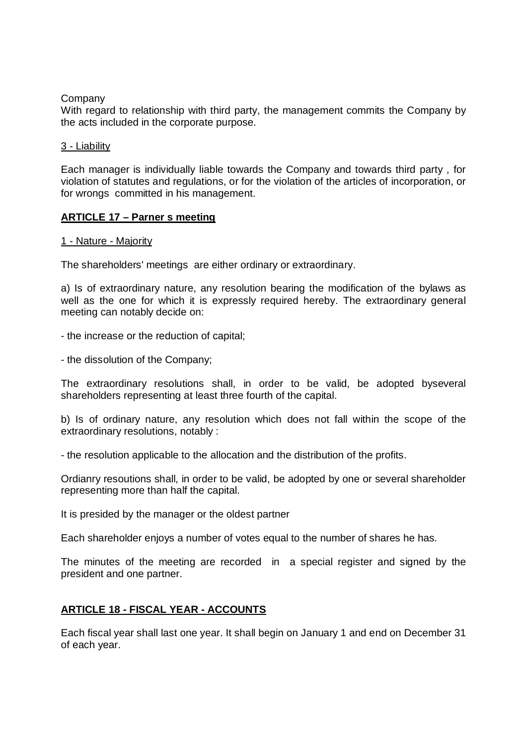## Company

With regard to relationship with third party, the management commits the Company by the acts included in the corporate purpose.

### 3 - Liability

Each manager is individually liable towards the Company and towards third party , for violation of statutes and regulations, or for the violation of the articles of incorporation, or for wrongs committed in his management.

## **ARTICLE 17 – Parner s meeting**

#### 1 - Nature - Majority

The shareholders' meetings are either ordinary or extraordinary.

a) Is of extraordinary nature, any resolution bearing the modification of the bylaws as well as the one for which it is expressly required hereby. The extraordinary general meeting can notably decide on:

- the increase or the reduction of capital;

- the dissolution of the Company;

The extraordinary resolutions shall, in order to be valid, be adopted byseveral shareholders representing at least three fourth of the capital.

b) Is of ordinary nature, any resolution which does not fall within the scope of the extraordinary resolutions, notably :

- the resolution applicable to the allocation and the distribution of the profits.

Ordianry resoutions shall, in order to be valid, be adopted by one or several shareholder representing more than half the capital.

It is presided by the manager or the oldest partner

Each shareholder enjoys a number of votes equal to the number of shares he has.

The minutes of the meeting are recorded in a special register and signed by the president and one partner.

# **ARTICLE 18 - FISCAL YEAR - ACCOUNTS**

Each fiscal year shall last one year. It shall begin on January 1 and end on December 31 of each year.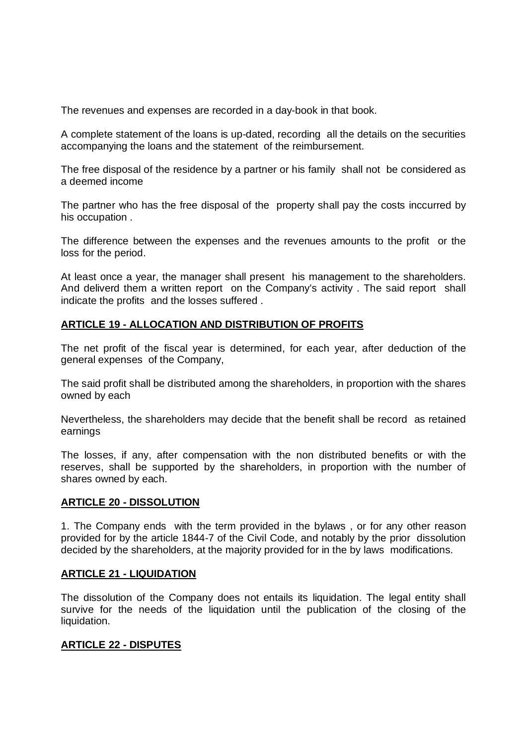The revenues and expenses are recorded in a day-book in that book.

A complete statement of the loans is up-dated, recording all the details on the securities accompanying the loans and the statement of the reimbursement.

The free disposal of the residence by a partner or his family shall not be considered as a deemed income

The partner who has the free disposal of the property shall pay the costs inccurred by his occupation .

The difference between the expenses and the revenues amounts to the profit or the loss for the period.

At least once a year, the manager shall present his management to the shareholders. And deliverd them a written report on the Company's activity . The said report shall indicate the profits and the losses suffered .

## **ARTICLE 19 - ALLOCATION AND DISTRIBUTION OF PROFITS**

The net profit of the fiscal year is determined, for each year, after deduction of the general expenses of the Company,

The said profit shall be distributed among the shareholders, in proportion with the shares owned by each

Nevertheless, the shareholders may decide that the benefit shall be record as retained earnings

The losses, if any, after compensation with the non distributed benefits or with the reserves, shall be supported by the shareholders, in proportion with the number of shares owned by each.

## **ARTICLE 20 - DISSOLUTION**

1. The Company ends with the term provided in the bylaws , or for any other reason provided for by the article 1844-7 of the Civil Code, and notably by the prior dissolution decided by the shareholders, at the majority provided for in the by laws modifications.

## **ARTICLE 21 - LIQUIDATION**

The dissolution of the Company does not entails its liquidation. The legal entity shall survive for the needs of the liquidation until the publication of the closing of the liquidation.

# **ARTICLE 22 - DISPUTES**